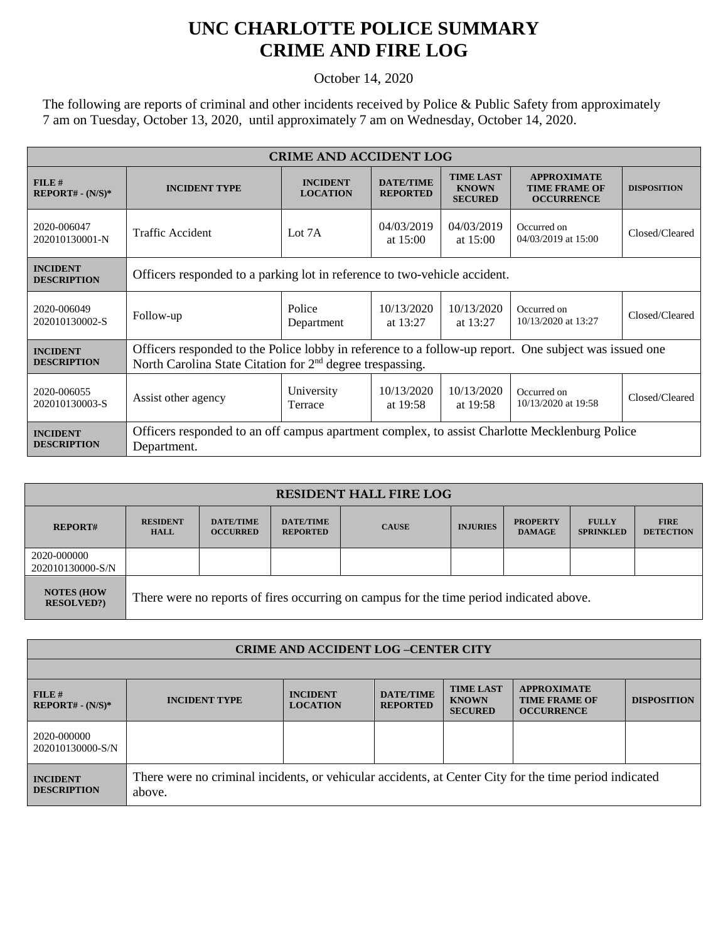## **UNC CHARLOTTE POLICE SUMMARY CRIME AND FIRE LOG**

October 14, 2020

The following are reports of criminal and other incidents received by Police & Public Safety from approximately 7 am on Tuesday, October 13, 2020, until approximately 7 am on Wednesday, October 14, 2020.

| <b>CRIME AND ACCIDENT LOG</b>         |                                                                                                                                                                      |                                    |                                     |                                                    |                                                                 |                    |  |
|---------------------------------------|----------------------------------------------------------------------------------------------------------------------------------------------------------------------|------------------------------------|-------------------------------------|----------------------------------------------------|-----------------------------------------------------------------|--------------------|--|
| FILE#<br>$REPORT# - (N/S)*$           | <b>INCIDENT TYPE</b>                                                                                                                                                 | <b>INCIDENT</b><br><b>LOCATION</b> | <b>DATE/TIME</b><br><b>REPORTED</b> | <b>TIME LAST</b><br><b>KNOWN</b><br><b>SECURED</b> | <b>APPROXIMATE</b><br><b>TIME FRAME OF</b><br><b>OCCURRENCE</b> | <b>DISPOSITION</b> |  |
| 2020-006047<br>202010130001-N         | <b>Traffic Accident</b>                                                                                                                                              | Lot 7A                             | 04/03/2019<br>at $15:00$            | 04/03/2019<br>at $15:00$                           | Occurred on<br>04/03/2019 at 15:00                              | Closed/Cleared     |  |
| <b>INCIDENT</b><br><b>DESCRIPTION</b> | Officers responded to a parking lot in reference to two-vehicle accident.                                                                                            |                                    |                                     |                                                    |                                                                 |                    |  |
| 2020-006049<br>202010130002-S         | Follow-up                                                                                                                                                            | Police<br>Department               | 10/13/2020<br>at $13:27$            | 10/13/2020<br>at $13:27$                           | Occurred on<br>10/13/2020 at 13:27                              | Closed/Cleared     |  |
| <b>INCIDENT</b><br><b>DESCRIPTION</b> | Officers responded to the Police lobby in reference to a follow-up report. One subject was issued one<br>North Carolina State Citation for $2nd$ degree trespassing. |                                    |                                     |                                                    |                                                                 |                    |  |
| 2020-006055<br>202010130003-S         | Assist other agency                                                                                                                                                  | University<br>Terrace              | 10/13/2020<br>at 19:58              | 10/13/2020<br>at $19:58$                           | Occurred on<br>10/13/2020 at 19:58                              | Closed/Cleared     |  |
| <b>INCIDENT</b><br><b>DESCRIPTION</b> | Officers responded to an off campus apartment complex, to assist Charlotte Mecklenburg Police<br>Department.                                                         |                                    |                                     |                                                    |                                                                 |                    |  |

| <b>RESIDENT HALL FIRE LOG</b>          |                                                                                         |                                     |                                     |              |                 |                                  |                                  |                                 |
|----------------------------------------|-----------------------------------------------------------------------------------------|-------------------------------------|-------------------------------------|--------------|-----------------|----------------------------------|----------------------------------|---------------------------------|
| <b>REPORT#</b>                         | <b>RESIDENT</b><br><b>HALL</b>                                                          | <b>DATE/TIME</b><br><b>OCCURRED</b> | <b>DATE/TIME</b><br><b>REPORTED</b> | <b>CAUSE</b> | <b>INJURIES</b> | <b>PROPERTY</b><br><b>DAMAGE</b> | <b>FULLY</b><br><b>SPRINKLED</b> | <b>FIRE</b><br><b>DETECTION</b> |
| 2020-000000<br>202010130000-S/N        |                                                                                         |                                     |                                     |              |                 |                                  |                                  |                                 |
| <b>NOTES (HOW</b><br><b>RESOLVED?)</b> | There were no reports of fires occurring on campus for the time period indicated above. |                                     |                                     |              |                 |                                  |                                  |                                 |

| <b>CRIME AND ACCIDENT LOG-CENTER CITY</b> |                                                                                                                  |                                    |                                     |                                                    |                                                                 |                    |  |
|-------------------------------------------|------------------------------------------------------------------------------------------------------------------|------------------------------------|-------------------------------------|----------------------------------------------------|-----------------------------------------------------------------|--------------------|--|
|                                           |                                                                                                                  |                                    |                                     |                                                    |                                                                 |                    |  |
| FILE#<br>$REPORT# - (N/S)*$               | <b>INCIDENT TYPE</b>                                                                                             | <b>INCIDENT</b><br><b>LOCATION</b> | <b>DATE/TIME</b><br><b>REPORTED</b> | <b>TIME LAST</b><br><b>KNOWN</b><br><b>SECURED</b> | <b>APPROXIMATE</b><br><b>TIME FRAME OF</b><br><b>OCCURRENCE</b> | <b>DISPOSITION</b> |  |
| 2020-000000<br>202010130000-S/N           |                                                                                                                  |                                    |                                     |                                                    |                                                                 |                    |  |
| <b>INCIDENT</b><br><b>DESCRIPTION</b>     | There were no criminal incidents, or vehicular accidents, at Center City for the time period indicated<br>above. |                                    |                                     |                                                    |                                                                 |                    |  |